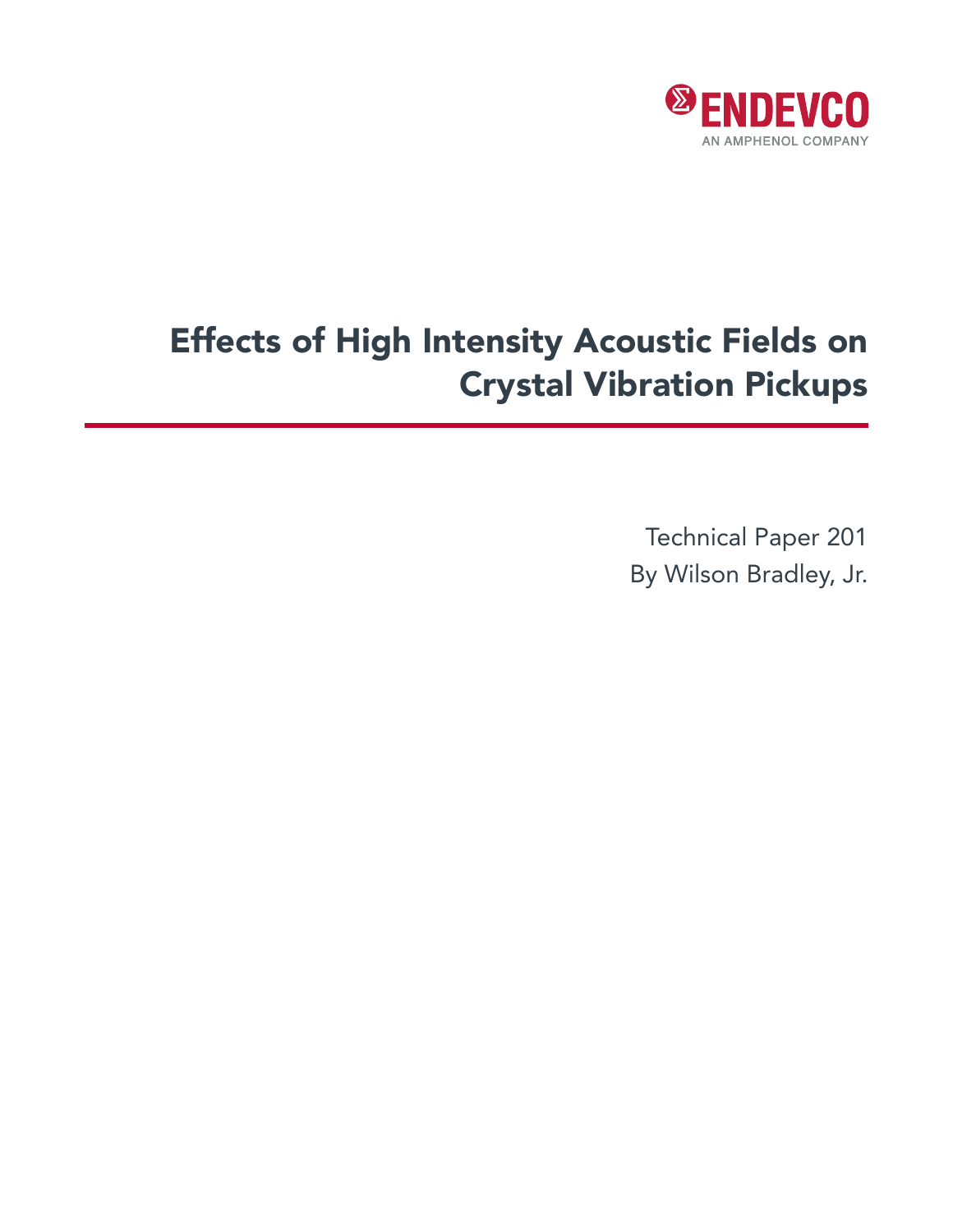

# Effects of High Intensity Acoustic Fields on Crystal Vibration Pickups

Technical Paper 201 By Wilson Bradley, Jr.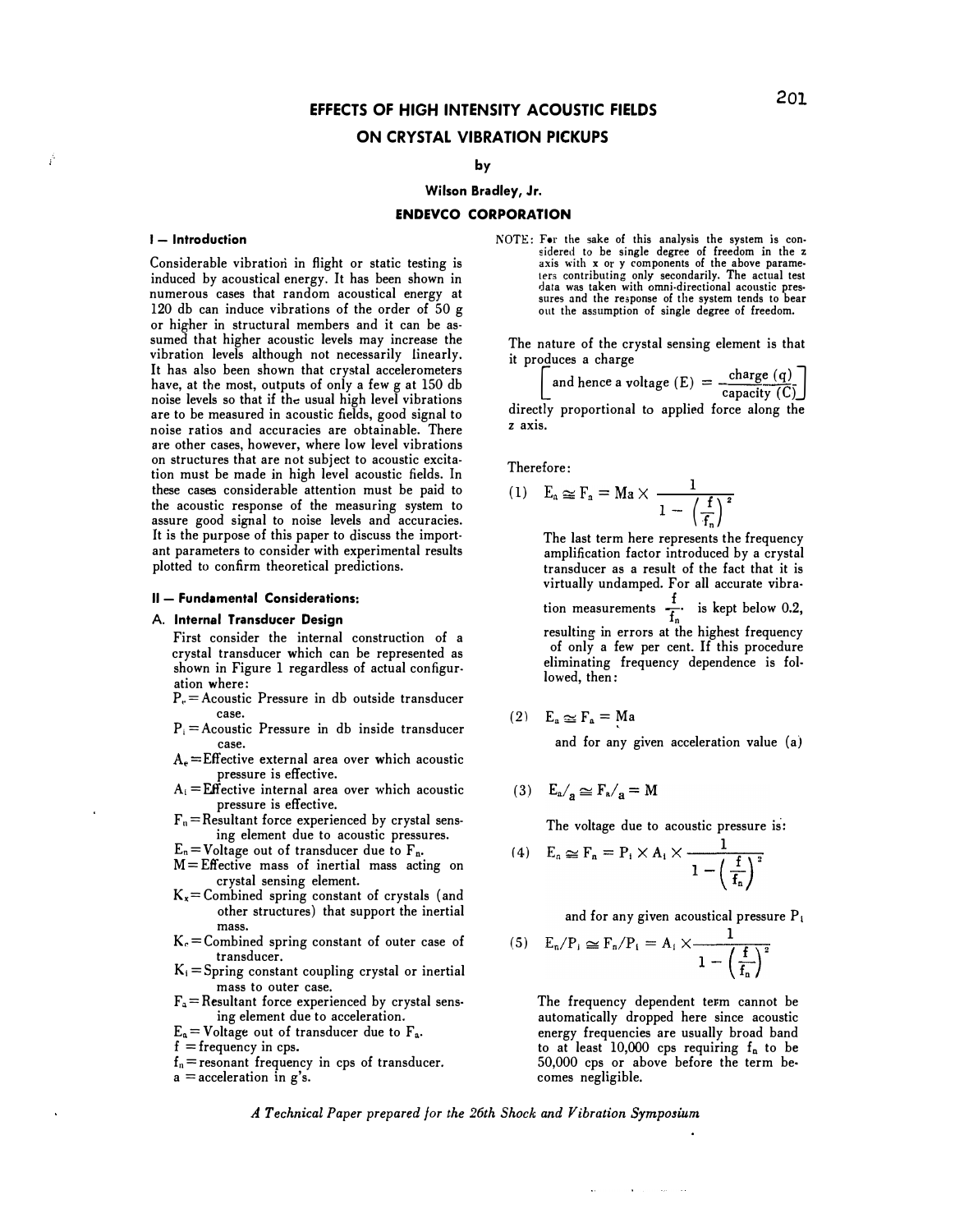# **EFFECTS OF HIGH INTENSITY ACOUSTIC FIELDS ON CRYSTAL VIBRATION PICKUPS**

# **by**

# **Wilson Bradley, Jr.**

#### **ENDEVCO CORPORATION**

#### $I - Introduction$

Á

Considerable vibration in flight or static testing is induced by acoustical energy. It has been shown in numerous cases that random acoustical energy at 120 db can induce vibrations of the order of 50 g or higher in structural members and it can be assumed that higher acoustic levels may increase the vibration levels although not necessarily linearly. It has also been shown that crystal accelerometers have, at the most, outputs of only a few g at 150 db noise levels so that if the usual high level vibrations are to be measured in acoustic fields, good signal to noise ratios and accuracies are obtainable. There are other cases, however, where low level vibrations on structures that are not subject to acoustic excitation must be made in high level acoustic fields. In these cases considerable attention must be paid to the acoustic response of the measuring system to assure good signal to noise levels and accuracies. It is the purpose of this paper to discuss the important parameters to consider with experimental results plotted to confirm theoretical predictions.

#### **II - Fundamental Considerations:**

# **A. Internal Transducer Design**

First consider the internal construction of a crystal transducer which can be represented as shown in Figure 1 regardless of actual configuration where:

- $P_e =$  Acoustic Pressure in db outside transducer case.
- P; **=** Acoustic Pressure in db inside transducer case.
- $A<sub>e</sub>$  = Effective external area over which acoustic pressure is effective.
- $A_i = \mathbf{E} \mathbf{f}$  fective internal area over which acoustic pressure is effective.
- $F_n$  = Resultant force experienced by crystal sensing element due to acoustic pressures.
- $E_n$  = Voltage out of transducer due to  $F_n$ .
- $M =$  Effective mass of inertial mass acting on crystal sensing element.
- K, **=** Combined spring constant of crystals ( and other structures) that support the inertial mass.
- $K<sub>e</sub>$  = Combined spring constant of outer case of transducer.
- $K_i =$ Spring constant coupling crystal or inertial mass to outer case.
- $F_a$  = Resultant force experienced by crystal sensing element due to acceleration.
- $E_a =$  Voltage out of transducer due to  $F_a$ .
- **f** = frequency in cps.
- $f_n$  = resonant frequency in cps of transducer.
- <sup>a</sup>**=** acceleration in g's.

NOTE: For the sake of this analysis the system is considered to be single degree of freedom in the z axis with x or y components of the above parame-ters contributing only secondarily. The actual test data was taken with omni-directional acoustic pressures and the response of the system tends to bear out the assumption of single degree of freedom.

The nature of the crystal sensing element is that it produces a charge

addices a charge

\n
$$
\begin{bmatrix}\n\text{and hence a voltage (E)} = \frac{\text{charge (q)}}{\text{capacity (C)}} \\
\text{the associated to amplitude of the magnetic field.}\n\end{bmatrix}
$$

directly proportional to applied force along th<sup>e</sup> z axis.

Therefore:

(1) 
$$
E_a \approx F_a = Ma \times \frac{1}{1 - \left(\frac{f}{f_n}\right)^2}
$$
  
The last term here represents the frequency

amplification factor introduced by a crystal transducer as a result of the fact that it is virtually undamped. For all accurate vibra• virtually undamped. For all accurate vibra<sub>t</sub><br>tion measurements  $\frac{f}{f_n}$  is kept below 0.2, resulting in errors at the highest frequency of only a few per cent. If this procedure eliminating frequency dependence is followed, then:

$$
(2) \quad E_a \simeq F_a = Ma
$$

and for any given acceleration value (a)

$$
(3) \quad E_a /_{\mathbf{a}} \simeq F_{\mathbf{a}} /_{\mathbf{a}} = M
$$

The voltage due to acoustic pressure is·:

$$
(4) \quad \mathcal{E}_n \simeq \mathcal{F}_n = \mathcal{P}_1 \times \mathcal{A}_1 \times \frac{1}{1 - \left(\frac{f}{f_n}\right)^2}
$$

and for any given acoustical pressure  $P_i$ 

(5) 
$$
E_n/P_i \simeq F_n/P_i = A_i \times \frac{1}{1 - \left(\frac{f}{f_n}\right)^2}
$$

The frequency dependent term cannot be automatically dropped here since acoustic energy frequencies are usually broad band to at least  $10,000$  cps requiring  $f_n$  to be 50,000 cps or above before the term becomes negligible.

*A Technical Paper prepared for the 26th Shock and Vibration Symposium*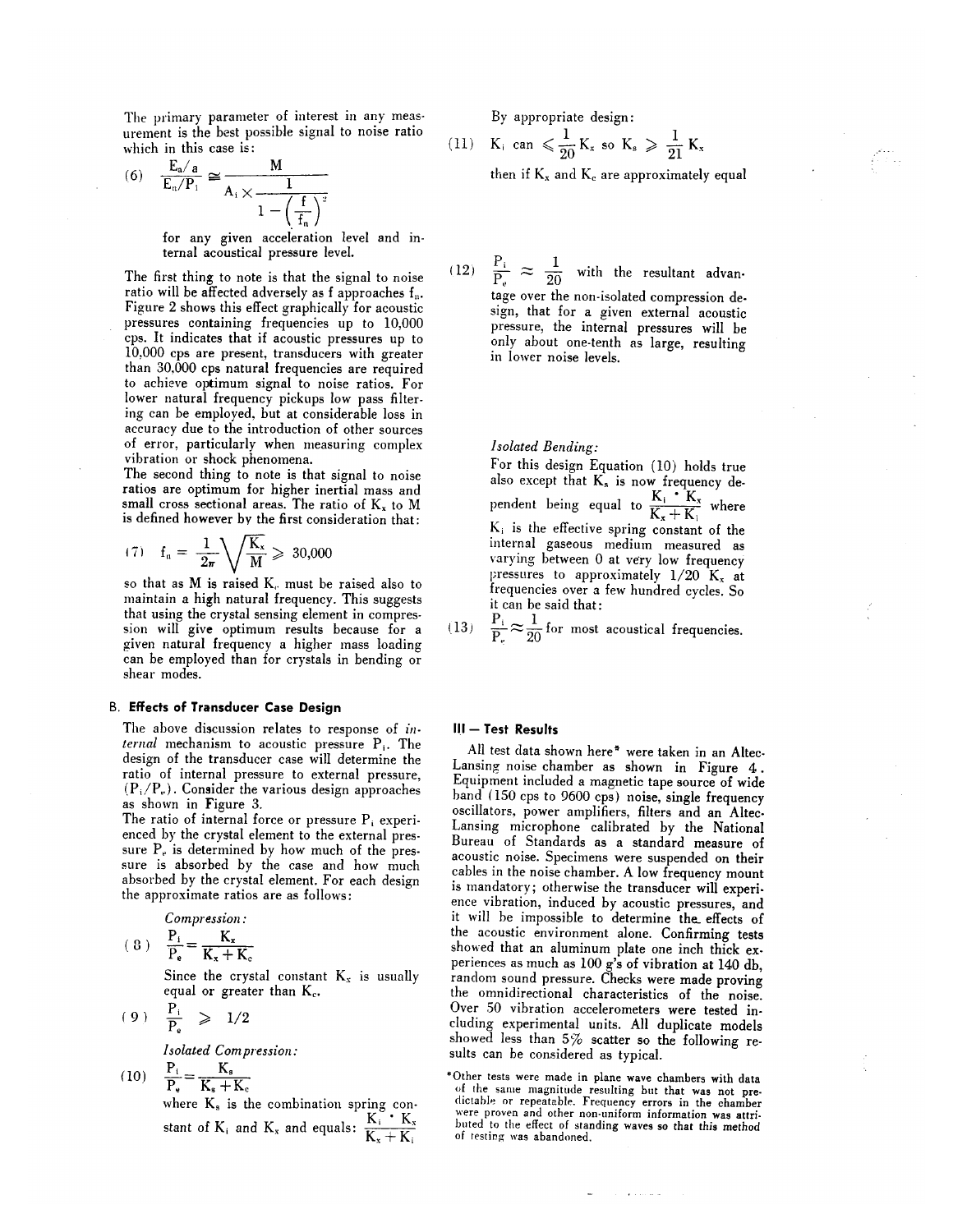The primary parameter of interest in any measurement is the best possible signal to noise ratio which in this case is:

(6) 
$$
\frac{E_a/a}{E_n/P_1} \cong \frac{M}{A_i \times \frac{1}{1 - \left(\frac{f}{f_n}\right)^2}}
$$

for any given acceleration level and internal acoustical pressure level.

The first thing to note is that the signal to noise ratio will be affected adversely as f approaches f<sub>n</sub>. Figure 2 shows this effect graphically for acoustic pressures containing frequencies up to 10,000 cps. It indicates that if acoustic pressures up to 10,000 cps are present, transducers with greater than 30,000 cps natural frequencies are required to achieve optimum signal to noise ratios. For lower natural frequency pickups low pass filtering can be employed, but at considerable loss in accuracy due to the introduction of other sources of error, particularly when measuring complex vibration or shock phenomena.

The second thing to note is that signal to noise ratios are optimum for higher inertial mass and small cross sectional areas. The ratio of  $K_x$  to M is defined however by the first consideration that:

$$
(7) \quad f_n = \frac{1}{2\pi} \sqrt{\frac{K_x}{M}} \geq 30{,}000
$$

so that as M is raised K<sub>c</sub> must be raised also to maintain a high natural frequency. This suggests that using the crystal sensing element in compression will give optimum results because for a given natural frequency a higher mass loading can be employed than for crystals in bending or shear modes.

#### **B. Effects of Transducer Case Design**

The above discussion relates to response of internal mechanism to acoustic pressure  $P_i$ . The design of the transducer case will determine the ratio of internal pressure to external pressure,  $(P_i/P_e)$ . Consider the various design approaches as shown in Figure 3.

The ratio of internal force or pressure  $P_i$  experienced by the crystal element to the external pressure  $P<sub>e</sub>$  is determined by how much of the pressure is absorbed by the case and how much absorbed by the crystal element. For each design the approximate ratios are as follows:

Compression:

$$
(8) \quad \frac{P_i}{P_e} = \frac{K_x}{K_x + K}
$$

Since the crystal constant  $K_x$  is usually equal or greater than K<sub>c</sub>.

$$
(9) \quad \frac{P_i}{P_e} \geq 1/2
$$

Isolated Compression:

(10) 
$$
\frac{P_i}{P_e} = \frac{K_s}{K_s + K_c}
$$
where  $K$  is the zero.

where  $K_s$  is the combination spring constant of  $K_i$  and  $K_x$  and equals:  $\frac{K_i^{\circ} \cdot K_x}{K_x + K_i}$ 

By appropriate design:

 $(11)$ 

$$
K_i \text{ can } \leqslant \frac{1}{20} \, K_x \text{ so } K_s \geqslant \frac{1}{21} \, K_x
$$

then if  $K_x$  and  $K_c$  are approximately equal

(12)  $\frac{P_i}{P_e} \approx \frac{1}{20}$  with the resultant advan-

tage over the non-isolated compression design, that for a given external acoustic pressure, the internal pressures will be only about one-tenth as large, resulting in lower noise levels.

#### Isolated Bending:

For this design Equation (10) holds true also except that  $K_s$  is now frequency de-<br>pendent being equal to  $\frac{K_i \cdot K_x}{K_x + K_i}$  where  $K_i$  is the effective spring constant of the internal gaseous medium measured as varying between 0 at very low frequency pressures to approximately  $1/20$  K<sub>x</sub> at frequencies over a few hundred cycles. So it can be said that:

 $\frac{P_i}{P_r} \approx \frac{1}{20}$  for most acoustical frequencies.  $(13)$ 

#### III - Test Results

All test data shown here\* were taken in an Altec-Lansing noise chamber as shown in Figure 4. Equipment included a magnetic tape source of wide band (150 cps to 9600 cps) noise, single frequency oscillators, power amplifiers, filters and an Altec-Lansing microphone calibrated by the National Bureau of Standards as a standard measure of acoustic noise. Specimens were suspended on their cables in the noise chamber. A low frequency mount is mandatory; otherwise the transducer will experience vibration, induced by acoustic pressures, and it will be impossible to determine the effects of the acoustic environment alone. Confirming tests showed that an aluminum plate one inch thick experiences as much as 100 g's of vibration at 140 db, random sound pressure. Checks were made proving the omnidirectional characteristics of the noise. Over 50 vibration accelerometers were tested including experimental units. All duplicate models showed less than 5% scatter so the following results can be considered as typical.

\*Other tests were made in plane wave chambers with data of the same magnitude resulting but that was not predictable or repeatable. Frequency errors in the chamber<br>were proven and other non-uniform information was attributed to the effect of standing waves so that this method of testing was abandoned.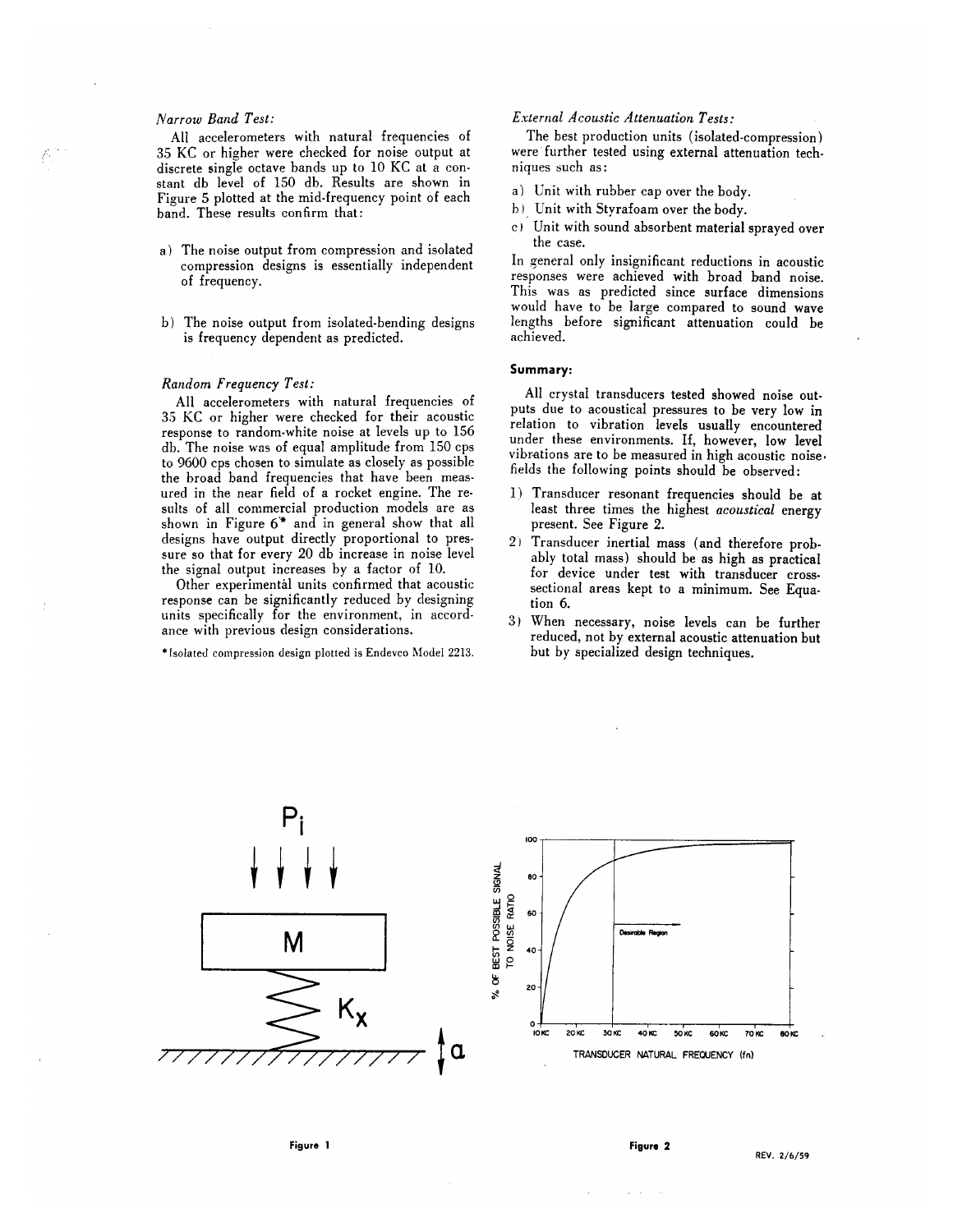# Narrow Band Test:

All accelerometers with natural frequencies of 35 KC or higher were checked for noise output at discrete single octave bands up to 10 KC at a constant db level of 150 db. Results are shown in Figure 5 plotted at the mid-frequency point of each band. These results confirm that:

- a) The noise output from compression and isolated compression designs is essentially independent of frequency.
- b) The noise output from isolated-bending designs is frequency dependent as predicted.

# Random Frequency Test:

All accelerometers with natural frequencies of 35 KC or higher were checked for their acoustic response to random-white noise at levels up to 156 db. The noise was of equal amplitude from 150 cps to 9600 cps chosen to simulate as closely as possible the broad band frequencies that have been measured in the near field of a rocket engine. The results of all commercial production models are as shown in Figure 6\* and in general show that all designs have output directly proportional to pressure so that for every 20 db increase in noise level the signal output increases by a factor of 10.

Other experimental units confirmed that acoustic response can be significantly reduced by designing units specifically for the environment, in accordance with previous design considerations.

\*Isolated compression design plotted is Endevco Model 2213.

# **External Acoustic Attenuation Tests:**

The best production units (isolated-compression) were further tested using external attenuation techniques such as:

- a) Unit with rubber cap over the body.
- b) Unit with Styrafoam over the body.
- c) Unit with sound absorbent material sprayed over the case.

In general only insignificant reductions in acoustic responses were achieved with broad band noise. This was as predicted since surface dimensions would have to be large compared to sound wave lengths before significant attenuation could be achieved.

#### Summary:

All crystal transducers tested showed noise outputs due to acoustical pressures to be very low in relation to vibration levels usually encountered under these environments. If, however, low level vibrations are to be measured in high acoustic noise. fields the following points should be observed:

- 1) Transducer resonant frequencies should be at least three times the highest *acoustical* energy present. See Figure 2.
- 2) Transducer inertial mass (and therefore probably total mass) should be as high as practical for device under test with transducer crosssectional areas kept to a minimum. See Equation 6.
- 3) When necessary, noise levels can be further reduced, not by external acoustic attenuation but but by specialized design techniques.

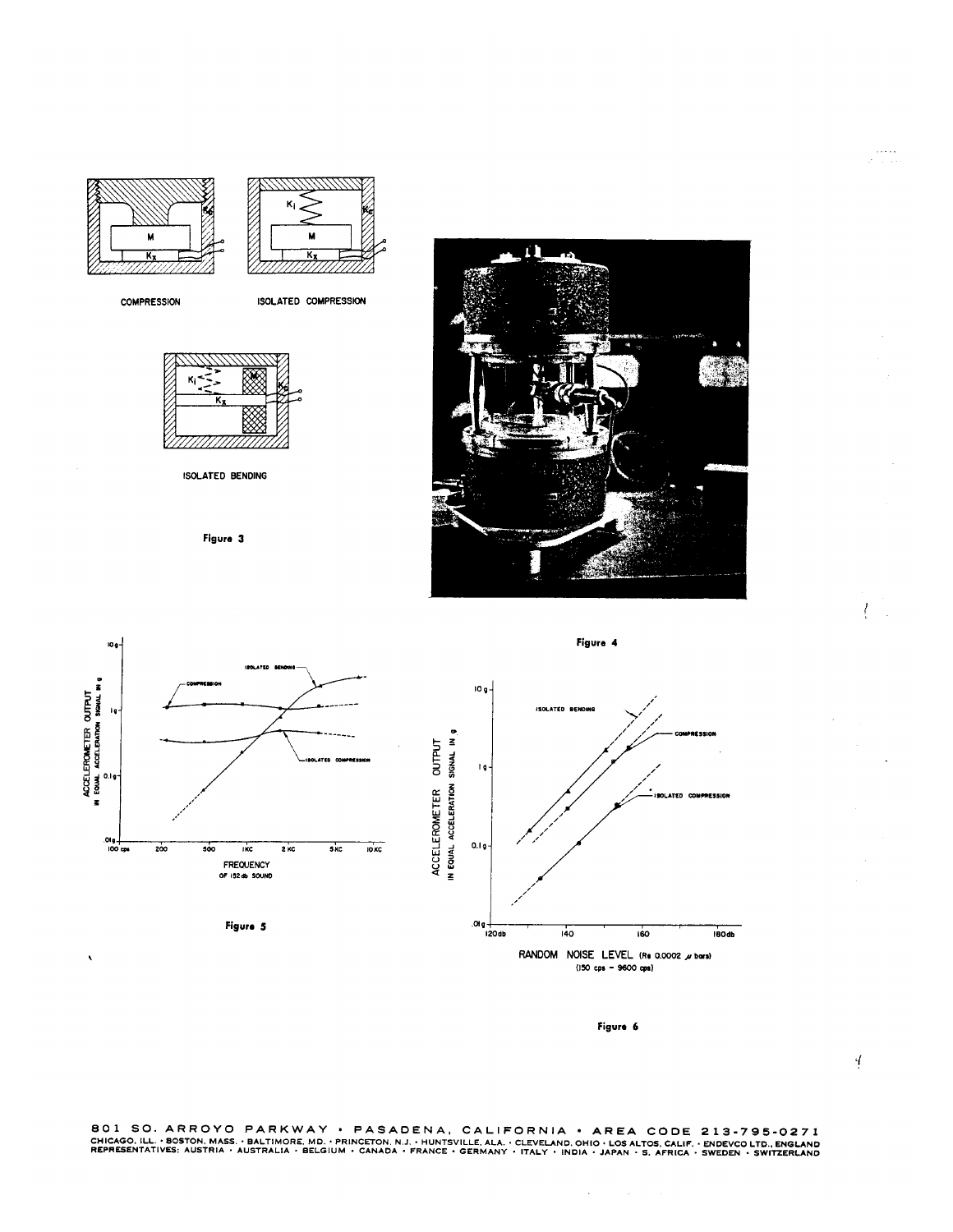

**COMPRESSION** 

ISOLATED COMPRESSION



**ISOLATED BENDING** 

Figure 3







Figure 6

 $\mathcal{L}$ 

801 SO. ARROYO PARKWAY • PASADENA, CALIFORNIA • AREA CODE 213-795-0271<br>CHICAGO. ILL. • BOSTON, MASS. • BALTIMORE, MD. • PRINCETON, N.J. • HUNTSVILLE, ALA. • CLEVELAND, OHIO • LOS ALTOS, CALIF. • ENDEVCO LTD., ENGLAND<br>REPRE

 $\frac{1}{2}$ 

 $\int$  $\mathcal{L}_{\rm{in}}$ 

 $\frac{1}{2}$  ,  $\frac{1}{2}$  ,  $\frac{1}{2}$  ,  $\frac{1}{2}$